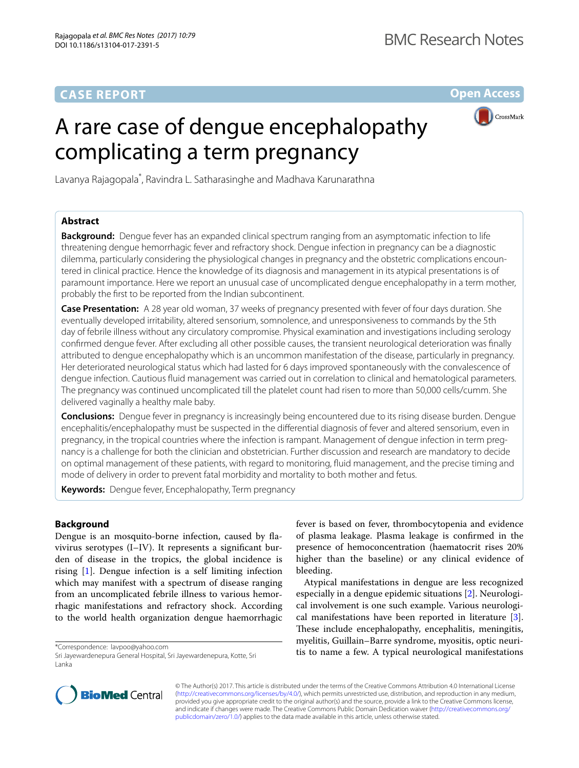# **CASE REPORT**

**Open Access**

# A rare case of dengue encephalopathy complicating a term pregnancy



Lavanya Rajagopala<sup>\*</sup>, Ravindra L. Satharasinghe and Madhava Karunarathna

# **Abstract**

**Background:** Dengue fever has an expanded clinical spectrum ranging from an asymptomatic infection to life threatening dengue hemorrhagic fever and refractory shock. Dengue infection in pregnancy can be a diagnostic dilemma, particularly considering the physiological changes in pregnancy and the obstetric complications encountered in clinical practice. Hence the knowledge of its diagnosis and management in its atypical presentations is of paramount importance. Here we report an unusual case of uncomplicated dengue encephalopathy in a term mother, probably the first to be reported from the Indian subcontinent.

**Case Presentation:** A 28 year old woman, 37 weeks of pregnancy presented with fever of four days duration. She eventually developed irritability, altered sensorium, somnolence, and unresponsiveness to commands by the 5th day of febrile illness without any circulatory compromise. Physical examination and investigations including serology confirmed dengue fever. After excluding all other possible causes, the transient neurological deterioration was finally attributed to dengue encephalopathy which is an uncommon manifestation of the disease, particularly in pregnancy. Her deteriorated neurological status which had lasted for 6 days improved spontaneously with the convalescence of dengue infection. Cautious fluid management was carried out in correlation to clinical and hematological parameters. The pregnancy was continued uncomplicated till the platelet count had risen to more than 50,000 cells/cumm. She delivered vaginally a healthy male baby.

**Conclusions:** Dengue fever in pregnancy is increasingly being encountered due to its rising disease burden. Dengue encephalitis/encephalopathy must be suspected in the differential diagnosis of fever and altered sensorium, even in pregnancy, in the tropical countries where the infection is rampant. Management of dengue infection in term pregnancy is a challenge for both the clinician and obstetrician. Further discussion and research are mandatory to decide on optimal management of these patients, with regard to monitoring, fluid management, and the precise timing and mode of delivery in order to prevent fatal morbidity and mortality to both mother and fetus.

**Keywords:** Dengue fever, Encephalopathy, Term pregnancy

## **Background**

Dengue is an mosquito-borne infection, caused by flavivirus serotypes (I–IV). It represents a significant burden of disease in the tropics, the global incidence is rising [\[1](#page-2-0)]. Dengue infection is a self limiting infection which may manifest with a spectrum of disease ranging from an uncomplicated febrile illness to various hemorrhagic manifestations and refractory shock. According to the world health organization dengue haemorrhagic

\*Correspondence: lavpoo@yahoo.com

Sri Jayewardenepura General Hospital, Sri Jayewardenepura, Kotte, Sri Lanka

fever is based on fever, thrombocytopenia and evidence of plasma leakage. Plasma leakage is confirmed in the presence of hemoconcentration (haematocrit rises 20% higher than the baseline) or any clinical evidence of bleeding.

Atypical manifestations in dengue are less recognized especially in a dengue epidemic situations [[2\]](#page-2-1). Neurological involvement is one such example. Various neurological manifestations have been reported in literature [\[3](#page-3-0)]. These include encephalopathy, encephalitis, meningitis, myelitis, Guillain–Barre syndrome, myositis, optic neuritis to name a few. A typical neurological manifestations



© The Author(s) 2017. This article is distributed under the terms of the Creative Commons Attribution 4.0 International License [\(http://creativecommons.org/licenses/by/4.0/\)](http://creativecommons.org/licenses/by/4.0/), which permits unrestricted use, distribution, and reproduction in any medium, provided you give appropriate credit to the original author(s) and the source, provide a link to the Creative Commons license, and indicate if changes were made. The Creative Commons Public Domain Dedication waiver ([http://creativecommons.org/](http://creativecommons.org/publicdomain/zero/1.0/) [publicdomain/zero/1.0/](http://creativecommons.org/publicdomain/zero/1.0/)) applies to the data made available in this article, unless otherwise stated.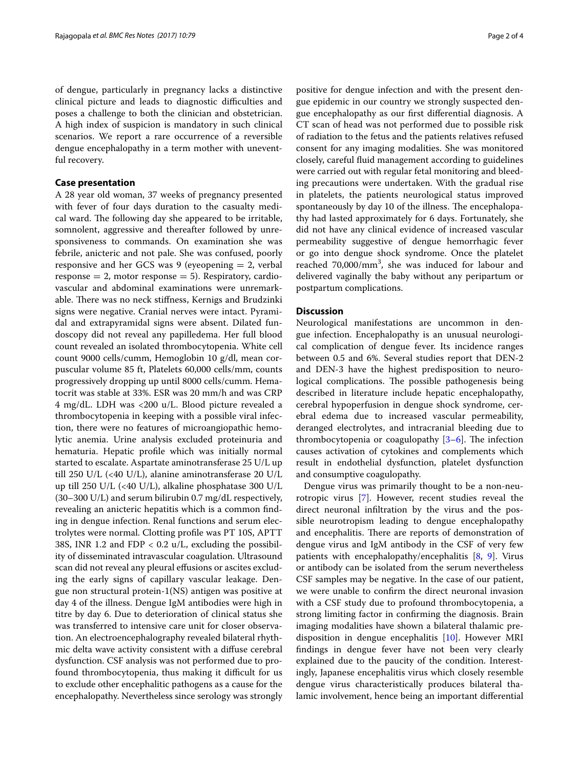of dengue, particularly in pregnancy lacks a distinctive clinical picture and leads to diagnostic difficulties and poses a challenge to both the clinician and obstetrician. A high index of suspicion is mandatory in such clinical scenarios. We report a rare occurrence of a reversible dengue encephalopathy in a term mother with uneventful recovery.

## **Case presentation**

A 28 year old woman, 37 weeks of pregnancy presented with fever of four days duration to the casualty medical ward. The following day she appeared to be irritable, somnolent, aggressive and thereafter followed by unresponsiveness to commands. On examination she was febrile, anicteric and not pale. She was confused, poorly responsive and her GCS was 9 (eyeopening  $= 2$ , verbal response  $= 2$ , motor response  $= 5$ ). Respiratory, cardiovascular and abdominal examinations were unremarkable. There was no neck stiffness, Kernigs and Brudzinki signs were negative. Cranial nerves were intact. Pyramidal and extrapyramidal signs were absent. Dilated fundoscopy did not reveal any papilledema. Her full blood count revealed an isolated thrombocytopenia. White cell count 9000 cells/cumm, Hemoglobin 10 g/dl, mean corpuscular volume 85 ft, Platelets 60,000 cells/mm, counts progressively dropping up until 8000 cells/cumm. Hematocrit was stable at 33%. ESR was 20 mm/h and was CRP 4 mg/dL. LDH was <200 u/L. Blood picture revealed a thrombocytopenia in keeping with a possible viral infection, there were no features of microangiopathic hemolytic anemia. Urine analysis excluded proteinuria and hematuria. Hepatic profile which was initially normal started to escalate. Aspartate aminotransferase 25 U/L up till 250 U/L (<40 U/L), alanine aminotransferase 20 U/L up till 250 U/L (<40 U/L), alkaline phosphatase 300 U/L (30–300 U/L) and serum bilirubin 0.7 mg/dL respectively, revealing an anicteric hepatitis which is a common finding in dengue infection. Renal functions and serum electrolytes were normal. Clotting profile was PT 10S, APTT 38S, INR 1.2 and FDP < 0.2 u/L, excluding the possibility of disseminated intravascular coagulation. Ultrasound scan did not reveal any pleural effusions or ascites excluding the early signs of capillary vascular leakage. Dengue non structural protein-1(NS) antigen was positive at day 4 of the illness. Dengue IgM antibodies were high in titre by day 6. Due to deterioration of clinical status she was transferred to intensive care unit for closer observation. An electroencephalography revealed bilateral rhythmic delta wave activity consistent with a diffuse cerebral dysfunction. CSF analysis was not performed due to profound thrombocytopenia, thus making it difficult for us to exclude other encephalitic pathogens as a cause for the encephalopathy. Nevertheless since serology was strongly

positive for dengue infection and with the present dengue epidemic in our country we strongly suspected dengue encephalopathy as our first differential diagnosis. A CT scan of head was not performed due to possible risk of radiation to the fetus and the patients relatives refused consent for any imaging modalities. She was monitored closely, careful fluid management according to guidelines were carried out with regular fetal monitoring and bleeding precautions were undertaken. With the gradual rise in platelets, the patients neurological status improved spontaneously by day 10 of the illness. The encephalopathy had lasted approximately for 6 days. Fortunately, she did not have any clinical evidence of increased vascular permeability suggestive of dengue hemorrhagic fever or go into dengue shock syndrome. Once the platelet reached 70,000/mm<sup>3</sup>, she was induced for labour and delivered vaginally the baby without any peripartum or postpartum complications.

## **Discussion**

Neurological manifestations are uncommon in dengue infection. Encephalopathy is an unusual neurological complication of dengue fever. Its incidence ranges between 0.5 and 6%. Several studies report that DEN-2 and DEN-3 have the highest predisposition to neurological complications. The possible pathogenesis being described in literature include hepatic encephalopathy, cerebral hypoperfusion in dengue shock syndrome, cerebral edema due to increased vascular permeability, deranged electrolytes, and intracranial bleeding due to thrombocytopenia or coagulopathy [\[3](#page-3-0)[–6](#page-3-1)]. The infection causes activation of cytokines and complements which result in endothelial dysfunction, platelet dysfunction and consumptive coagulopathy.

Dengue virus was primarily thought to be a non-neurotropic virus [[7\]](#page-3-2). However, recent studies reveal the direct neuronal infiltration by the virus and the possible neurotropism leading to dengue encephalopathy and encephalitis. There are reports of demonstration of dengue virus and IgM antibody in the CSF of very few patients with encephalopathy/encephalitis [[8,](#page-3-3) [9](#page-3-4)]. Virus or antibody can be isolated from the serum nevertheless CSF samples may be negative. In the case of our patient, we were unable to confirm the direct neuronal invasion with a CSF study due to profound thrombocytopenia, a strong limiting factor in confirming the diagnosis. Brain imaging modalities have shown a bilateral thalamic predisposition in dengue encephalitis [\[10](#page-3-5)]. However MRI findings in dengue fever have not been very clearly explained due to the paucity of the condition. Interestingly, Japanese encephalitis virus which closely resemble dengue virus characteristically produces bilateral thalamic involvement, hence being an important differential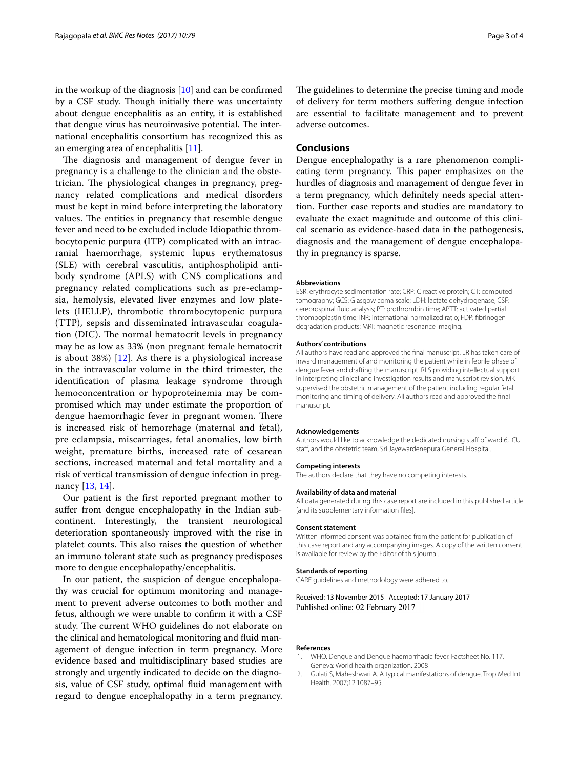in the workup of the diagnosis [\[10](#page-3-5)] and can be confirmed by a CSF study. Though initially there was uncertainty about dengue encephalitis as an entity, it is established that dengue virus has neuroinvasive potential. The international encephalitis consortium has recognized this as an emerging area of encephalitis [[11\]](#page-3-6).

The diagnosis and management of dengue fever in pregnancy is a challenge to the clinician and the obstetrician. The physiological changes in pregnancy, pregnancy related complications and medical disorders must be kept in mind before interpreting the laboratory values. The entities in pregnancy that resemble dengue fever and need to be excluded include Idiopathic thrombocytopenic purpura (ITP) complicated with an intracranial haemorrhage, systemic lupus erythematosus (SLE) with cerebral vasculitis, antiphospholipid antibody syndrome (APLS) with CNS complications and pregnancy related complications such as pre-eclampsia, hemolysis, elevated liver enzymes and low platelets (HELLP), thrombotic thrombocytopenic purpura (TTP), sepsis and disseminated intravascular coagulation (DIC). The normal hematocrit levels in pregnancy may be as low as 33% (non pregnant female hematocrit is about 38%) [\[12](#page-3-7)]. As there is a physiological increase in the intravascular volume in the third trimester, the identification of plasma leakage syndrome through hemoconcentration or hypoproteinemia may be compromised which may under estimate the proportion of dengue haemorrhagic fever in pregnant women. There is increased risk of hemorrhage (maternal and fetal), pre eclampsia, miscarriages, fetal anomalies, low birth weight, premature births, increased rate of cesarean sections, increased maternal and fetal mortality and a risk of vertical transmission of dengue infection in pregnancy [\[13](#page-3-8), [14](#page-3-9)].

Our patient is the first reported pregnant mother to suffer from dengue encephalopathy in the Indian subcontinent. Interestingly, the transient neurological deterioration spontaneously improved with the rise in platelet counts. This also raises the question of whether an immuno tolerant state such as pregnancy predisposes more to dengue encephalopathy/encephalitis.

In our patient, the suspicion of dengue encephalopathy was crucial for optimum monitoring and management to prevent adverse outcomes to both mother and fetus, although we were unable to confirm it with a CSF study. The current WHO guidelines do not elaborate on the clinical and hematological monitoring and fluid management of dengue infection in term pregnancy. More evidence based and multidisciplinary based studies are strongly and urgently indicated to decide on the diagnosis, value of CSF study, optimal fluid management with regard to dengue encephalopathy in a term pregnancy. The guidelines to determine the precise timing and mode of delivery for term mothers suffering dengue infection are essential to facilitate management and to prevent adverse outcomes.

## **Conclusions**

Dengue encephalopathy is a rare phenomenon complicating term pregnancy. This paper emphasizes on the hurdles of diagnosis and management of dengue fever in a term pregnancy, which definitely needs special attention. Further case reports and studies are mandatory to evaluate the exact magnitude and outcome of this clinical scenario as evidence-based data in the pathogenesis, diagnosis and the management of dengue encephalopathy in pregnancy is sparse.

#### **Abbreviations**

ESR: erythrocyte sedimentation rate; CRP: C reactive protein; CT: computed tomography; GCS: Glasgow coma scale; LDH: lactate dehydrogenase; CSF: cerebrospinal fluid analysis; PT: prothrombin time; APTT: activated partial thromboplastin time; INR: international normalized ratio; FDP: fibrinogen degradation products; MRI: magnetic resonance imaging.

#### **Authors' contributions**

All authors have read and approved the final manuscript. LR has taken care of inward management of and monitoring the patient while in febrile phase of dengue fever and drafting the manuscript. RLS providing intellectual support in interpreting clinical and investigation results and manuscript revision. MK supervised the obstetric management of the patient including regular fetal monitoring and timing of delivery. All authors read and approved the final manuscript.

#### **Acknowledgements**

Authors would like to acknowledge the dedicated nursing staff of ward 6, ICU staff, and the obstetric team, Sri Jayewardenepura General Hospital.

#### **Competing interests**

The authors declare that they have no competing interests.

#### **Availability of data and material**

All data generated during this case report are included in this published article [and its supplementary information files].

#### **Consent statement**

Written informed consent was obtained from the patient for publication of this case report and any accompanying images. A copy of the written consent is available for review by the Editor of this journal.

#### **Standards of reporting**

CARE guidelines and methodology were adhered to.

Received: 13 November 2015 Accepted: 17 January 2017 Published online: 02 February 2017

#### **References**

- <span id="page-2-0"></span>1. WHO. Dengue and Dengue haemorrhagic fever. Factsheet No. 117. Geneva: World health organization. 2008
- <span id="page-2-1"></span>2. Gulati S, Maheshwari A. A typical manifestations of dengue. Trop Med Int Health. 2007;12:1087–95.